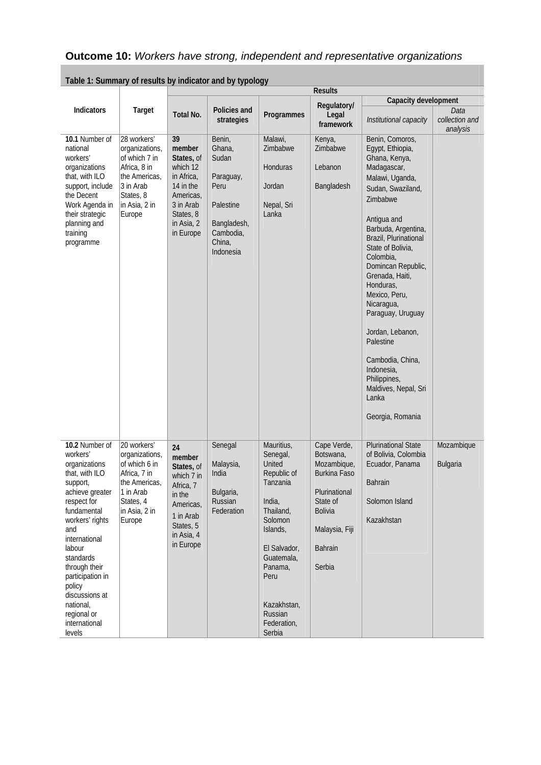|                                                                                                                                                                                                                                                                                                                      |                                                                                                                                      |                                                                                                                                     |                                                                                                                |                                                                                                                                                                                                               | <b>Results</b>                                                                                                                                |                                                                                                                                                                                                                                                                                                                                                                                                                                                                            |                        |
|----------------------------------------------------------------------------------------------------------------------------------------------------------------------------------------------------------------------------------------------------------------------------------------------------------------------|--------------------------------------------------------------------------------------------------------------------------------------|-------------------------------------------------------------------------------------------------------------------------------------|----------------------------------------------------------------------------------------------------------------|---------------------------------------------------------------------------------------------------------------------------------------------------------------------------------------------------------------|-----------------------------------------------------------------------------------------------------------------------------------------------|----------------------------------------------------------------------------------------------------------------------------------------------------------------------------------------------------------------------------------------------------------------------------------------------------------------------------------------------------------------------------------------------------------------------------------------------------------------------------|------------------------|
| <b>Indicators</b>                                                                                                                                                                                                                                                                                                    | Target                                                                                                                               | Total No.                                                                                                                           | Policies and<br>strategies                                                                                     | Programmes                                                                                                                                                                                                    | Regulatory/<br>Legal                                                                                                                          | Capacity development<br>Institutional capacity                                                                                                                                                                                                                                                                                                                                                                                                                             | Data<br>collection and |
| 10.1 Number of<br>national<br>workers'<br>organizations<br>that, with ILO<br>support, include<br>the Decent<br>Work Agenda in<br>their strategic<br>planning and<br>training<br>programme                                                                                                                            | 28 workers'<br>organizations,<br>of which 7 in<br>Africa, 8 in<br>the Americas,<br>3 in Arab<br>States, 8<br>in Asia, 2 in<br>Europe | 39<br>member<br>States, of<br>which 12<br>in Africa,<br>14 in the<br>Americas,<br>3 in Arab<br>States, 8<br>in Asia, 2<br>in Europe | Benin,<br>Ghana,<br>Sudan<br>Paraguay,<br>Peru<br>Palestine<br>Bangladesh,<br>Cambodia,<br>China,<br>Indonesia | Malawi,<br>Zimbabwe<br>Honduras<br>Jordan<br>Nepal, Sri<br>Lanka                                                                                                                                              | framework<br>Kenya,<br>Zimbabwe<br>Lebanon<br>Bangladesh                                                                                      | Benin, Comoros,<br>Egypt, Ethiopia,<br>Ghana, Kenya,<br>Madagascar,<br>Malawi, Uganda,<br>Sudan, Swaziland,<br>Zimbabwe<br>Antigua and<br>Barbuda, Argentina,<br>Brazil, Plurinational<br>State of Bolivia,<br>Colombia,<br>Domincan Republic,<br>Grenada, Haiti,<br>Honduras,<br>Mexico, Peru,<br>Nicaragua,<br>Paraguay, Uruguay<br>Jordan, Lebanon,<br>Palestine<br>Cambodia, China,<br>Indonesia,<br>Philippines,<br>Maldives, Nepal, Sri<br>Lanka<br>Georgia, Romania | analysis               |
| 10.2 Number of<br>workers'<br>organizations<br>that, with ILO<br>support,<br>achieve greater<br>respect for<br>fundamental<br>workers' rights<br>and<br>international<br>labour<br>standards<br>through their<br>participation in<br>policy<br>discussions at<br>national,<br>regional or<br>international<br>levels | 20 workers'<br>organizations,<br>of which 6 in<br>Africa, 7 in<br>the Americas,<br>1 in Arab<br>States, 4<br>in Asia, 2 in<br>Europe | 24<br>member<br>States, of<br>which 7 in<br>Africa, 7<br>in the<br>Americas,<br>1 in Arab<br>States, 5<br>in Asia, 4<br>in Europe   | Senegal<br>Malaysia,<br>India<br>Bulgaria,<br>Russian<br>Federation                                            | Mauritius,<br>Senegal,<br>United<br>Republic of<br>Tanzania<br>India,<br>Thailand,<br>Solomon<br>Islands,<br>El Salvador,<br>Guatemala,<br>Panama,<br>Peru<br>Kazakhstan,<br>Russian<br>Federation,<br>Serbia | Cape Verde,<br>Botswana,<br>Mozambique,<br>Burkina Faso<br>Plurinational<br>State of<br><b>Bolivia</b><br>Malaysia, Fiji<br>Bahrain<br>Serbia | <b>Plurinational State</b><br>of Bolivia, Colombia<br>Ecuador, Panama<br><b>Bahrain</b><br>Solomon Island<br>Kazakhstan                                                                                                                                                                                                                                                                                                                                                    | Mozambique<br>Bulgaria |

**Table 1: Summary of results by indicator and by typology**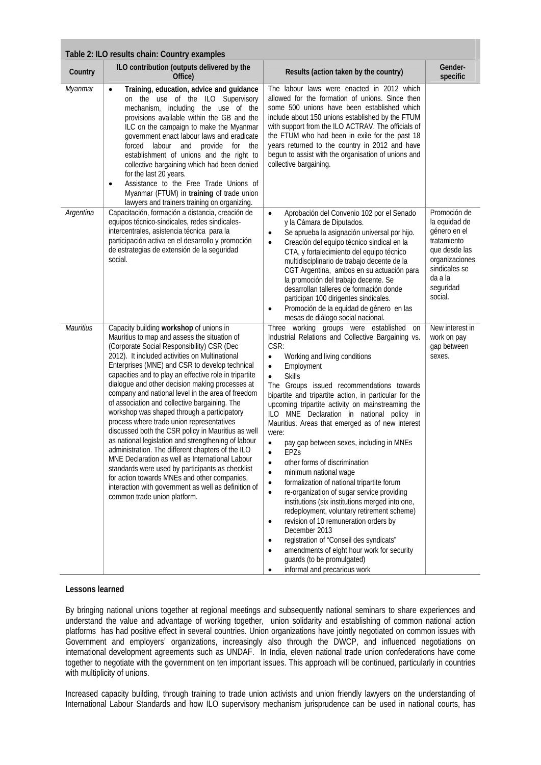|                  | Table 2: ILO results chain: Country examples                                                                                                                                                                                                                                                                                                                                                                                                                                                                                                                                                                                                                                                                                                                                                                                                                                                                                                                              |                                                                                                                                                                                                                                                                                                                                                                                                                                                                                                                                                                                                                                                                                                                                                                                                                                                                                                                                                                                                                                                                                                    |                                                                                                                                                     |
|------------------|---------------------------------------------------------------------------------------------------------------------------------------------------------------------------------------------------------------------------------------------------------------------------------------------------------------------------------------------------------------------------------------------------------------------------------------------------------------------------------------------------------------------------------------------------------------------------------------------------------------------------------------------------------------------------------------------------------------------------------------------------------------------------------------------------------------------------------------------------------------------------------------------------------------------------------------------------------------------------|----------------------------------------------------------------------------------------------------------------------------------------------------------------------------------------------------------------------------------------------------------------------------------------------------------------------------------------------------------------------------------------------------------------------------------------------------------------------------------------------------------------------------------------------------------------------------------------------------------------------------------------------------------------------------------------------------------------------------------------------------------------------------------------------------------------------------------------------------------------------------------------------------------------------------------------------------------------------------------------------------------------------------------------------------------------------------------------------------|-----------------------------------------------------------------------------------------------------------------------------------------------------|
| Country          | ILO contribution (outputs delivered by the<br>Office)                                                                                                                                                                                                                                                                                                                                                                                                                                                                                                                                                                                                                                                                                                                                                                                                                                                                                                                     | Results (action taken by the country)                                                                                                                                                                                                                                                                                                                                                                                                                                                                                                                                                                                                                                                                                                                                                                                                                                                                                                                                                                                                                                                              | Gender-<br>specific                                                                                                                                 |
| Myanmar          | Training, education, advice and guidance<br>$\bullet$<br>on the use of the ILO Supervisory<br>mechanism, including the use of the<br>provisions available within the GB and the<br>ILC on the campaign to make the Myanmar<br>government enact labour laws and eradicate<br>forced labour and<br>provide for the<br>establishment of unions and the right to<br>collective bargaining which had been denied<br>for the last 20 years.<br>Assistance to the Free Trade Unions of<br>$\bullet$<br>Myanmar (FTUM) in training of trade union<br>lawyers and trainers training on organizing.                                                                                                                                                                                                                                                                                                                                                                                 | The labour laws were enacted in 2012 which<br>allowed for the formation of unions. Since then<br>some 500 unions have been established which<br>include about 150 unions established by the FTUM<br>with support from the ILO ACTRAV. The officials of<br>the FTUM who had been in exile for the past 18<br>years returned to the country in 2012 and have<br>begun to assist with the organisation of unions and<br>collective bargaining.                                                                                                                                                                                                                                                                                                                                                                                                                                                                                                                                                                                                                                                        |                                                                                                                                                     |
| Argentina        | Capacitación, formación a distancia, creación de<br>equipos técnico-sindicales, redes sindicales-<br>intercentrales, asistencia técnica para la<br>participación activa en el desarrollo y promoción<br>de estrategias de extensión de la seguridad<br>social.                                                                                                                                                                                                                                                                                                                                                                                                                                                                                                                                                                                                                                                                                                            | Aprobación del Convenio 102 por el Senado<br>$\bullet$<br>y la Cámara de Diputados.<br>Se aprueba la asignación universal por hijo.<br>$\bullet$<br>Creación del equipo técnico sindical en la<br>$\bullet$<br>CTA, y fortalecimiento del equipo técnico<br>multidisciplinario de trabajo decente de la<br>CGT Argentina, ambos en su actuación para<br>la promoción del trabajo decente. Se<br>desarrollan talleres de formación donde<br>participan 100 dirigentes sindicales.<br>Promoción de la equidad de género en las<br>٠<br>mesas de diálogo social nacional.                                                                                                                                                                                                                                                                                                                                                                                                                                                                                                                             | Promoción de<br>la equidad de<br>género en el<br>tratamiento<br>que desde las<br>organizaciones<br>sindicales se<br>da a la<br>seguridad<br>social. |
| <b>Mauritius</b> | Capacity building workshop of unions in<br>Mauritius to map and assess the situation of<br>(Corporate Social Responsibility) CSR (Dec<br>2012). It included activities on Multinational<br>Enterprises (MNE) and CSR to develop technical<br>capacities and to play an effective role in tripartite<br>dialogue and other decision making processes at<br>company and national level in the area of freedom<br>of association and collective bargaining. The<br>workshop was shaped through a participatory<br>process where trade union representatives<br>discussed both the CSR policy in Mauritius as well<br>as national legislation and strengthening of labour<br>administration. The different chapters of the ILO<br>MNE Declaration as well as International Labour<br>standards were used by participants as checklist<br>for action towards MNEs and other companies,<br>interaction with government as well as definition of<br>common trade union platform. | Three working groups were established on<br>Industrial Relations and Collective Bargaining vs.<br>CSR:<br>Working and living conditions<br>$\bullet$<br>Employment<br>$\bullet$<br><b>Skills</b><br>The Groups issued recommendations towards<br>bipartite and tripartite action, in particular for the<br>upcoming tripartite activity on mainstreaming the<br>ILO MNE Declaration in national policy in<br>Mauritius. Areas that emerged as of new interest<br>were:<br>pay gap between sexes, including in MNEs<br>EPZs<br>other forms of discrimination<br>$\bullet$<br>minimum national wage<br>$\bullet$<br>formalization of national tripartite forum<br>$\bullet$<br>re-organization of sugar service providing<br>$\bullet$<br>institutions (six institutions merged into one,<br>redeployment, voluntary retirement scheme)<br>revision of 10 remuneration orders by<br>$\bullet$<br>December 2013<br>registration of "Conseil des syndicats"<br>$\bullet$<br>amendments of eight hour work for security<br>$\bullet$<br>guards (to be promulgated)<br>informal and precarious work<br>٠ | New interest in<br>work on pay<br>gap between<br>sexes.                                                                                             |

## **Lessons learned**

By bringing national unions together at regional meetings and subsequently national seminars to share experiences and understand the value and advantage of working together, union solidarity and establishing of common national action platforms has had positive effect in several countries. Union organizations have jointly negotiated on common issues with Government and employers' organizations, increasingly also through the DWCP, and influenced negotiations on international development agreements such as UNDAF. In India, eleven national trade union confederations have come together to negotiate with the government on ten important issues. This approach will be continued, particularly in countries with multiplicity of unions.

Increased capacity building, through training to trade union activists and union friendly lawyers on the understanding of International Labour Standards and how ILO supervisory mechanism jurisprudence can be used in national courts, has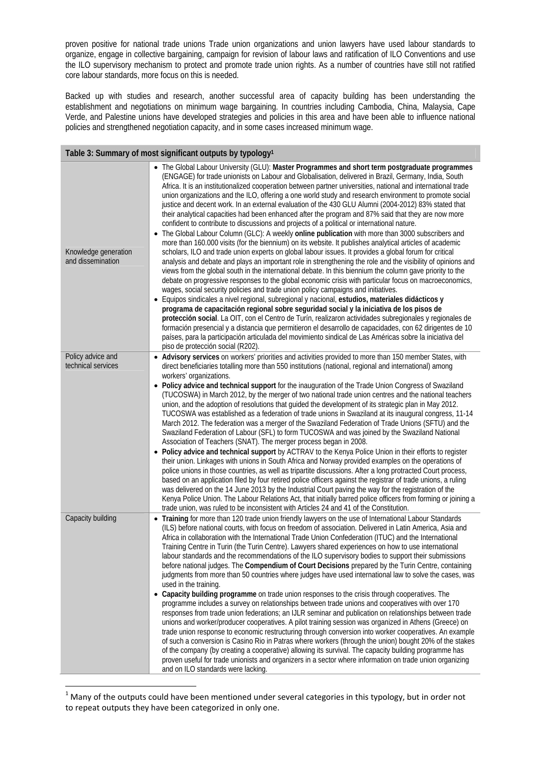proven positive for national trade unions Trade union organizations and union lawyers have used labour standards to organize, engage in collective bargaining, campaign for revision of labour laws and ratification of ILO Conventions and use the ILO supervisory mechanism to protect and promote trade union rights. As a number of countries have still not ratified core labour standards, more focus on this is needed.

Backed up with studies and research, another successful area of capacity building has been understanding the establishment and negotiations on minimum wage bargaining. In countries including Cambodia, China, Malaysia, Cape Verde, and Palestine unions have developed strategies and policies in this area and have been able to influence national policies and strengthened negotiation capacity, and in some cases increased minimum wage.

| Table 3: Summary of most significant outputs by typology <sup>1</sup> |                                                                                                                                                                                                                                                                                                                                                                                                                                                                                                                                                                                                                                                                                                                                                                                                                                                                                                                                                                                                                                                                                                                                                                                                                                                                                                                                                                                                                                                                                                                                                                                                                                                                                                                                                                                                                                                                                                                                                                                                                                                                                |  |  |  |
|-----------------------------------------------------------------------|--------------------------------------------------------------------------------------------------------------------------------------------------------------------------------------------------------------------------------------------------------------------------------------------------------------------------------------------------------------------------------------------------------------------------------------------------------------------------------------------------------------------------------------------------------------------------------------------------------------------------------------------------------------------------------------------------------------------------------------------------------------------------------------------------------------------------------------------------------------------------------------------------------------------------------------------------------------------------------------------------------------------------------------------------------------------------------------------------------------------------------------------------------------------------------------------------------------------------------------------------------------------------------------------------------------------------------------------------------------------------------------------------------------------------------------------------------------------------------------------------------------------------------------------------------------------------------------------------------------------------------------------------------------------------------------------------------------------------------------------------------------------------------------------------------------------------------------------------------------------------------------------------------------------------------------------------------------------------------------------------------------------------------------------------------------------------------|--|--|--|
| Knowledge generation<br>and dissemination                             | • The Global Labour University (GLU): Master Programmes and short term postgraduate programmes<br>(ENGAGE) for trade unionists on Labour and Globalisation, delivered in Brazil, Germany, India, South<br>Africa. It is an institutionalized cooperation between partner universities, national and international trade<br>union organizations and the ILO, offering a one world study and research environment to promote social<br>justice and decent work. In an external evaluation of the 430 GLU Alumni (2004-2012) 83% stated that<br>their analytical capacities had been enhanced after the program and 87% said that they are now more<br>confident to contribute to discussions and projects of a political or international nature.<br>• The Global Labour Column (GLC): A weekly online publication with more than 3000 subscribers and<br>more than 160.000 visits (for the biennium) on its website. It publishes analytical articles of academic<br>scholars, ILO and trade union experts on global labour issues. It provides a global forum for critical<br>analysis and debate and plays an important role in strengthening the role and the visibility of opinions and<br>views from the global south in the international debate. In this biennium the column gave priority to the<br>debate on progressive responses to the global economic crisis with particular focus on macroeconomics,<br>wages, social security policies and trade union policy campaigns and initiatives.<br>· Equipos sindicales a nivel regional, subregional y nacional, estudios, materiales didácticos y<br>programa de capacitación regional sobre seguridad social y la iniciativa de los pisos de<br>protección social. La OIT, con el Centro de Turín, realizaron actividades subregionales y regionales de<br>formación presencial y a distancia que permitieron el desarrollo de capacidades, con 62 dirigentes de 10<br>países, para la participación articulada del movimiento sindical de Las Américas sobre la iniciativa del<br>piso de protección social (R202). |  |  |  |
| Policy advice and                                                     | • Advisory services on workers' priorities and activities provided to more than 150 member States, with                                                                                                                                                                                                                                                                                                                                                                                                                                                                                                                                                                                                                                                                                                                                                                                                                                                                                                                                                                                                                                                                                                                                                                                                                                                                                                                                                                                                                                                                                                                                                                                                                                                                                                                                                                                                                                                                                                                                                                        |  |  |  |
| technical services                                                    | direct beneficiaries totalling more than 550 institutions (national, regional and international) among<br>workers' organizations.<br>• Policy advice and technical support for the inauguration of the Trade Union Congress of Swaziland<br>(TUCOSWA) in March 2012, by the merger of two national trade union centres and the national teachers<br>union, and the adoption of resolutions that guided the development of its strategic plan in May 2012.<br>TUCOSWA was established as a federation of trade unions in Swaziland at its inaugural congress, 11-14<br>March 2012. The federation was a merger of the Swaziland Federation of Trade Unions (SFTU) and the<br>Swaziland Federation of Labour (SFL) to form TUCOSWA and was joined by the Swaziland National<br>Association of Teachers (SNAT). The merger process began in 2008.<br>• Policy advice and technical support by ACTRAV to the Kenya Police Union in their efforts to register<br>their union. Linkages with unions in South Africa and Norway provided examples on the operations of<br>police unions in those countries, as well as tripartite discussions. After a long protracted Court process,<br>based on an application filed by four retired police officers against the registrar of trade unions, a ruling<br>was delivered on the 14 June 2013 by the Industrial Court paving the way for the registration of the<br>Kenya Police Union. The Labour Relations Act, that initially barred police officers from forming or joining a<br>trade union, was ruled to be inconsistent with Articles 24 and 41 of the Constitution.                                                                                                                                                                                                                                                                                                                                                                                                                                                             |  |  |  |
| Capacity building                                                     | • Training for more than 120 trade union friendly lawyers on the use of International Labour Standards<br>(ILS) before national courts, with focus on freedom of association. Delivered in Latin America, Asia and<br>Africa in collaboration with the International Trade Union Confederation (ITUC) and the International<br>Training Centre in Turin (the Turin Centre). Lawyers shared experiences on how to use international<br>labour standards and the recommendations of the ILO supervisory bodies to support their submissions<br>before national judges. The Compendium of Court Decisions prepared by the Turin Centre, containing<br>judgments from more than 50 countries where judges have used international law to solve the cases, was<br>used in the training.<br>• Capacity building programme on trade union responses to the crisis through cooperatives. The<br>programme includes a survey on relationships between trade unions and cooperatives with over 170<br>responses from trade union federations; an IJLR seminar and publication on relationships between trade<br>unions and worker/producer cooperatives. A pilot training session was organized in Athens (Greece) on<br>trade union response to economic restructuring through conversion into worker cooperatives. An example<br>of such a conversion is Casino Rio in Patras where workers (through the union) bought 20% of the stakes<br>of the company (by creating a cooperative) allowing its survival. The capacity building programme has<br>proven useful for trade unionists and organizers in a sector where information on trade union organizing<br>and on ILO standards were lacking.                                                                                                                                                                                                                                                                                                                                                                                    |  |  |  |

 $1$  Many of the outputs could have been mentioned under several categories in this typology, but in order not to repeat outputs they have been categorized in only one.